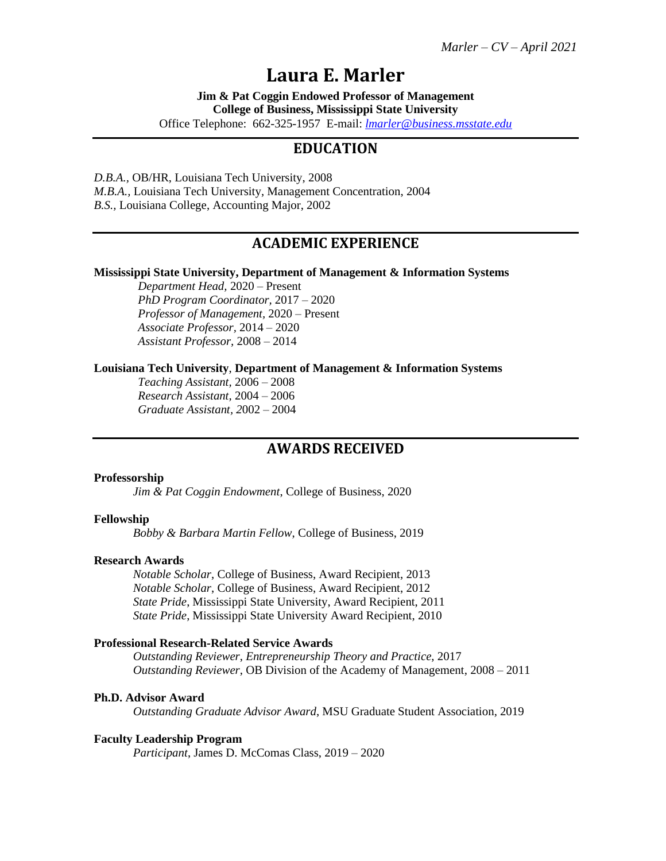# **Laura E. Marler**

**Jim & Pat Coggin Endowed Professor of Management College of Business, Mississippi State University**

Office Telephone: 662-325-1957 E-mail: *[lmarler@business.msstate.edu](mailto:lmarler@business.msstate.edu)*

# **EDUCATION**

*D.B.A.,* OB/HR, Louisiana Tech University, 2008 *M.B.A.,* Louisiana Tech University, Management Concentration, 2004 *B.S.,* Louisiana College, Accounting Major, 2002

# **ACADEMIC EXPERIENCE**

#### **Mississippi State University, Department of Management & Information Systems**

*Department Head,* 2020 – Present *PhD Program Coordinator,* 2017 – 2020 *Professor of Management,* 2020 – Present *Associate Professor,* 2014 – 2020 *Assistant Professor,* 2008 – 2014

#### **Louisiana Tech University**, **Department of Management & Information Systems**

*Teaching Assistant,* 2006 – 2008 *Research Assistant,* 2004 – 2006 *Graduate Assistant, 2*002 – 2004

## **AWARDS RECEIVED**

#### **Professorship**

*Jim & Pat Coggin Endowment*, College of Business, 2020

#### **Fellowship**

*Bobby & Barbara Martin Fellow*, College of Business, 2019

#### **Research Awards**

*Notable Scholar*, College of Business, Award Recipient, 2013 *Notable Scholar*, College of Business, Award Recipient, 2012 *State Pride*, Mississippi State University, Award Recipient, 2011 *State Pride*, Mississippi State University Award Recipient, 2010

#### **Professional Research-Related Service Awards**

*Outstanding Reviewer*, *Entrepreneurship Theory and Practice*, 2017 *Outstanding Reviewer*, OB Division of the Academy of Management, 2008 – 2011

#### **Ph.D. Advisor Award**

*Outstanding Graduate Advisor Award*, MSU Graduate Student Association, 2019

### **Faculty Leadership Program**

*Participant*, James D. McComas Class, 2019 – 2020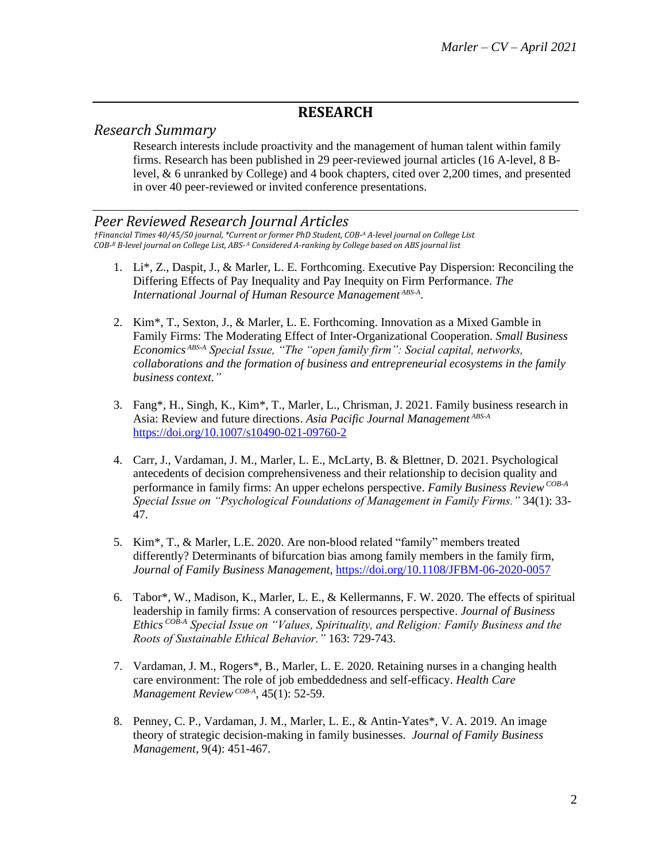# **RESEARCH**

# *Research Summary*

Research interests include proactivity and the management of human talent within family firms. Research has been published in 29 peer-reviewed journal articles (16 A-level, 8 Blevel, & 6 unranked by College) and 4 book chapters, cited over 2,200 times, and presented in over 40 peer-reviewed or invited conference presentations.

### *Peer Reviewed Research Journal Articles*

*†Financial Times 40/45/50 journal, \*Current or former PhD Student, COB-<sup>A</sup> A-level journal on College List COB-<sup>B</sup> B-level journal on College List, ABS-<sup>A</sup> Considered A-ranking by College based on ABS journal list* 

- 1. Li\*, Z., Daspit, J., & Marler, L. E. Forthcoming. Executive Pay Dispersion: Reconciling the Differing Effects of Pay Inequality and Pay Inequity on Firm Performance. *The International Journal of Human Resource Management ABS-A* .
- 2. Kim\*, T., Sexton, J., & Marler, L. E. Forthcoming. Innovation as a Mixed Gamble in Family Firms: The Moderating Effect of Inter-Organizational Cooperation. *Small Business Economics ABS-A Special Issue, "The "open family firm": Social capital, networks, collaborations and the formation of business and entrepreneurial ecosystems in the family business context."*
- 3. Fang\*, H., Singh, K., Kim\*, T., Marler, L., Chrisman, J. 2021. Family business research in Asia: Review and future directions. *Asia Pacific Journal Management ABS-A* <https://doi.org/10.1007/s10490-021-09760-2>
- 4. Carr, J., Vardaman, J. M., Marler, L. E., McLarty, B. & Blettner, D. 2021. Psychological antecedents of decision comprehensiveness and their relationship to decision quality and performance in family firms: An upper echelons perspective. Family Business Review<sup>COB-A</sup> *Special Issue on "Psychological Foundations of Management in Family Firms."* 34(1): 33- 47.
- 5. Kim\*, T., & Marler, L.E. 2020. Are non-blood related "family" members treated differently? Determinants of bifurcation bias among family members in the family firm, *Journal of Family Business Management*,<https://doi.org/10.1108/JFBM-06-2020-0057>
- 6. Tabor\*, W., Madison, K., Marler, L. E., & Kellermanns, F. W. 2020. The effects of spiritual leadership in family firms: A conservation of resources perspective. *Journal of Business Ethics COB-A Special Issue on "Values, Spirituality, and Religion: Family Business and the Roots of Sustainable Ethical Behavior."* 163: 729-743.
- 7. Vardaman, J. M., Rogers\*, B., Marler, L. E. 2020. Retaining nurses in a changing health care environment: The role of job embeddedness and self-efficacy. *Health Care Management ReviewCOB-A* , 45(1): 52-59.
- 8. Penney, C. P., Vardaman, J. M., Marler, L. E., & Antin-Yates\*, V. A. 2019. An image theory of strategic decision-making in family businesses. *Journal of Family Business Management*, 9(4): 451-467.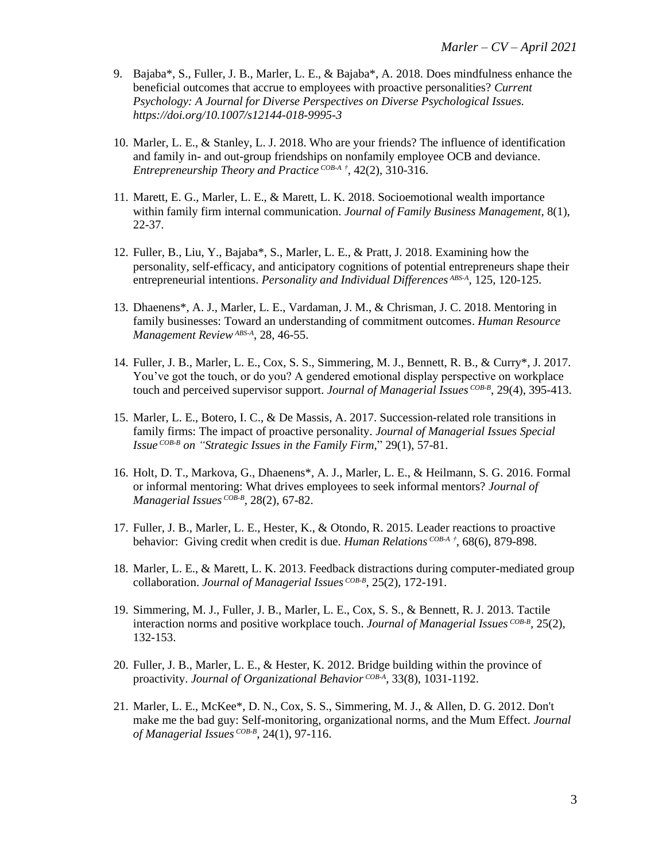- 9. Bajaba\*, S., Fuller, J. B., Marler, L. E., & Bajaba\*, A. 2018. Does mindfulness enhance the beneficial outcomes that accrue to employees with proactive personalities? *Current Psychology: A Journal for Diverse Perspectives on Diverse Psychological Issues. <https://doi.org/10.1007/s12144-018-9995-3>*
- 10. Marler, L. E., & Stanley, L. J. 2018. Who are your friends? The influence of identification and family in- and out-group friendships on nonfamily employee OCB and deviance. *Entrepreneurship Theory and Practice COB-A †* , 42(2), 310-316.
- 11. Marett, E. G., Marler, L. E., & Marett, L. K. 2018. Socioemotional wealth importance within family firm internal communication. *Journal of Family Business Management,* 8(1), 22-37.
- 12. Fuller, B., Liu, Y., Bajaba\*, S., Marler, L. E., & Pratt, J. 2018. Examining how the personality, self-efficacy, and anticipatory cognitions of potential entrepreneurs shape their entrepreneurial intentions. *Personality and Individual Differences ABS-A* , 125, 120-125.
- 13. Dhaenens\*, A. J., Marler, L. E., Vardaman, J. M., & Chrisman, J. C. 2018. Mentoring in family businesses: Toward an understanding of commitment outcomes. *Human Resource Management ReviewABS-A* , 28, 46-55.
- 14. Fuller, J. B., Marler, L. E., Cox, S. S., Simmering, M. J., Bennett, R. B., & Curry\*, J. 2017. You've got the touch, or do you? A gendered emotional display perspective on workplace touch and perceived supervisor support. *Journal of Managerial Issues COB-B* , 29(4), 395-413.
- 15. Marler, L. E., Botero, I. C., & De Massis, A. 2017. Succession-related role transitions in family firms: The impact of proactive personality. *Journal of Managerial Issues Special Issue COB-B on "Strategic Issues in the Family Firm*," 29(1), 57-81.
- 16. Holt, D. T., Markova, G., Dhaenens\*, A. J., Marler, L. E., & Heilmann, S. G. 2016. Formal or informal mentoring: What drives employees to seek informal mentors? *Journal of Managerial Issues COB-B* , 28(2), 67-82.
- 17. Fuller, J. B., Marler, L. E., Hester, K., & Otondo, R. 2015. Leader reactions to proactive behavior: Giving credit when credit is due. *Human Relations COB-A †* , 68(6), 879-898.
- 18. Marler, L. E., & Marett, L. K. 2013. Feedback distractions during computer-mediated group collaboration. *Journal of Managerial Issues COB-B* , 25(2), 172-191.
- 19. Simmering, M. J., Fuller, J. B., Marler, L. E., Cox, S. S., & Bennett, R. J. 2013. Tactile interaction norms and positive workplace touch. *Journal of Managerial Issues COB-B* , 25(2), 132-153.
- 20. Fuller, J. B., Marler, L. E., & Hester, K. 2012. Bridge building within the province of proactivity. *Journal of Organizational Behavior COB-A* , 33(8), 1031-1192.
- 21. Marler, L. E., McKee\*, D. N., Cox, S. S., Simmering, M. J., & Allen, D. G. 2012. Don't make me the bad guy: Self-monitoring, organizational norms, and the Mum Effect. *Journal of Managerial Issues COB-B* , 24(1), 97-116.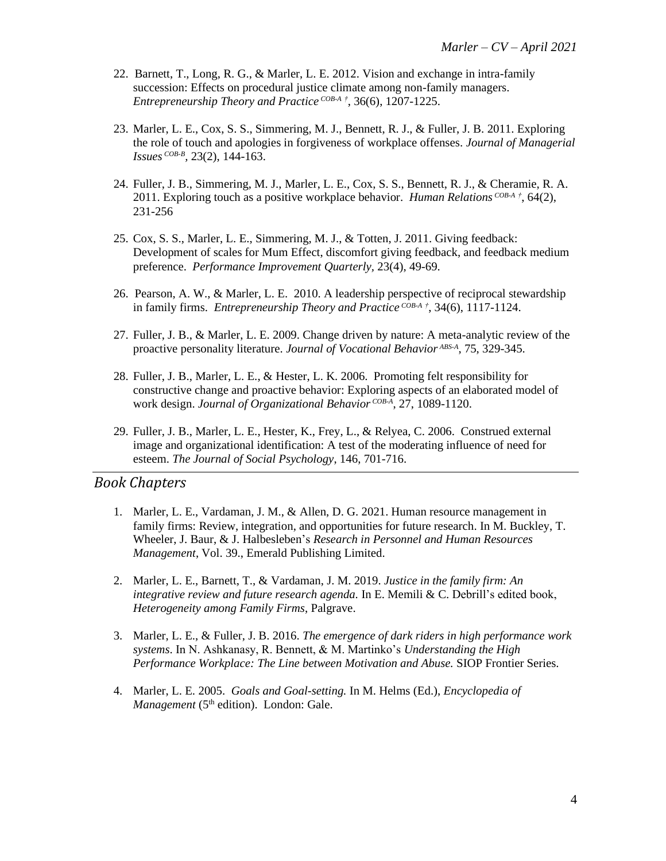- 22. Barnett, T., Long, R. G., & Marler, L. E. 2012. Vision and exchange in intra-family succession: Effects on procedural justice climate among non-family managers. *Entrepreneurship Theory and Practice COB-A †* , 36(6), 1207-1225.
- 23. Marler, L. E., Cox, S. S., Simmering, M. J., Bennett, R. J., & Fuller, J. B. 2011. Exploring the role of touch and apologies in forgiveness of workplace offenses. *Journal of Managerial Issues COB-B ,* 23(2), 144-163.
- 24. Fuller, J. B., Simmering, M. J., Marler, L. E., Cox, S. S., Bennett, R. J., & Cheramie, R. A. 2011. Exploring touch as a positive workplace behavior. *Human Relations COB-A †* , 64(2), 231-256
- 25. Cox, S. S., Marler, L. E., Simmering, M. J., & Totten, J. 2011. Giving feedback: Development of scales for Mum Effect, discomfort giving feedback, and feedback medium preference. *Performance Improvement Quarterly,* 23(4), 49-69.
- 26. Pearson, A. W., & Marler, L. E. 2010. A leadership perspective of reciprocal stewardship in family firms. *Entrepreneurship Theory and Practice COB-A †* , 34(6), 1117-1124.
- 27. Fuller, J. B., & Marler, L. E. 2009. Change driven by nature: A meta-analytic review of the proactive personality literature. *Journal of Vocational Behavior ABS-A* , 75, 329-345.
- 28. Fuller, J. B., Marler, L. E., & Hester, L. K. 2006. Promoting felt responsibility for constructive change and proactive behavior: Exploring aspects of an elaborated model of work design. *Journal of Organizational Behavior COB-A* , 27, 1089-1120.
- 29. Fuller, J. B., Marler, L. E., Hester, K., Frey, L., & Relyea, C. 2006. Construed external image and organizational identification: A test of the moderating influence of need for esteem. *The Journal of Social Psychology*, 146, 701-716.

### *Book Chapters*

- 1. Marler, L. E., Vardaman, J. M., & Allen, D. G. 2021. Human resource management in family firms: Review, integration, and opportunities for future research. In M. Buckley, T. Wheeler, J. Baur, & J. Halbesleben's *Research in Personnel and Human Resources Management*, Vol. 39., Emerald Publishing Limited.
- 2. Marler, L. E., Barnett, T., & Vardaman, J. M. 2019. *Justice in the family firm: An integrative review and future research agenda.* In E. Memili & C. Debrill's edited book, *Heterogeneity among Family Firms*, Palgrave.
- 3. Marler, L. E., & Fuller, J. B. 2016. *The emergence of dark riders in high performance work systems*. In N. Ashkanasy, R. Bennett, & M. Martinko's *Understanding the High Performance Workplace: The Line between Motivation and Abuse.* SIOP Frontier Series*.*
- 4. Marler, L. E. 2005. *Goals and Goal-setting.* In M. Helms (Ed.), *Encyclopedia of Management* (5<sup>th</sup> edition). London: Gale.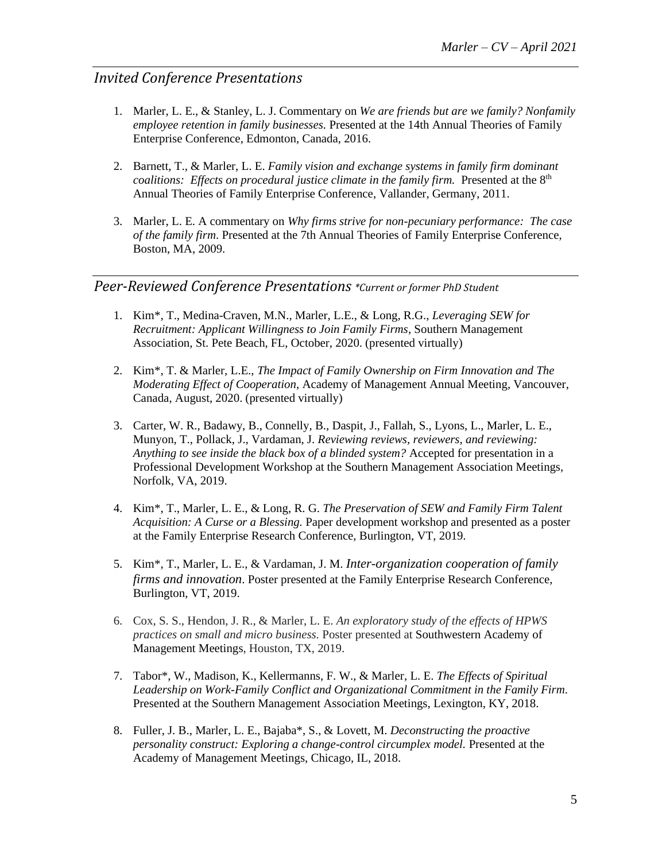# *Invited Conference Presentations*

- 1. Marler, L. E., & Stanley, L. J. Commentary on *We are friends but are we family? Nonfamily employee retention in family businesses.* Presented at the 14th Annual Theories of Family Enterprise Conference, Edmonton, Canada, 2016.
- 2. Barnett, T., & Marler, L. E. *Family vision and exchange systems in family firm dominant coalitions: Effects on procedural justice climate in the family firm.* Presented at the 8<sup>th</sup> Annual Theories of Family Enterprise Conference, Vallander, Germany, 2011.
- 3. Marler, L. E. A commentary on *Why firms strive for non-pecuniary performance: The case of the family firm*. Presented at the 7th Annual Theories of Family Enterprise Conference, Boston, MA, 2009.

# *Peer-Reviewed Conference Presentations \*Current or former PhD Student*

- 1. Kim\*, T., Medina-Craven, M.N., Marler, L.E., & Long, R.G., *Leveraging SEW for Recruitment: Applicant Willingness to Join Family Firms*, Southern Management Association, St. Pete Beach, FL, October, 2020. (presented virtually)
- 2. Kim\*, T. & Marler, L.E., *The Impact of Family Ownership on Firm Innovation and The Moderating Effect of Cooperation*, Academy of Management Annual Meeting, Vancouver, Canada, August, 2020. (presented virtually)
- 3. Carter, W. R., Badawy, B., Connelly, B., Daspit, J., Fallah, S., Lyons, L., Marler, L. E., Munyon, T., Pollack, J., Vardaman, J. *Reviewing reviews, reviewers, and reviewing: Anything to see inside the black box of a blinded system?* Accepted for presentation in a Professional Development Workshop at the Southern Management Association Meetings, Norfolk, VA, 2019.
- 4. Kim\*, T., Marler, L. E., & Long, R. G. *The Preservation of SEW and Family Firm Talent Acquisition: A Curse or a Blessing.* Paper development workshop and presented as a poster at the Family Enterprise Research Conference, Burlington, VT, 2019.
- 5. Kim\*, T., Marler, L. E., & Vardaman, J. M. *Inter-organization cooperation of family firms and innovation*. Poster presented at the Family Enterprise Research Conference, Burlington, VT, 2019.
- 6. Cox, S. S., Hendon, J. R., & Marler, L. E. *An exploratory study of the effects of HPWS practices on small and micro business.* Poster presented at Southwestern Academy of Management Meetings, Houston, TX, 2019.
- 7. Tabor\*, W., Madison, K., Kellermanns, F. W., & Marler, L. E. *The Effects of Spiritual Leadership on Work-Family Conflict and Organizational Commitment in the Family Firm.*  Presented at the Southern Management Association Meetings, Lexington, KY, 2018.
- 8. Fuller, J. B., Marler, L. E., Bajaba\*, S., & Lovett, M. *Deconstructing the proactive personality construct: Exploring a change-control circumplex model.* Presented at the Academy of Management Meetings, Chicago, IL, 2018.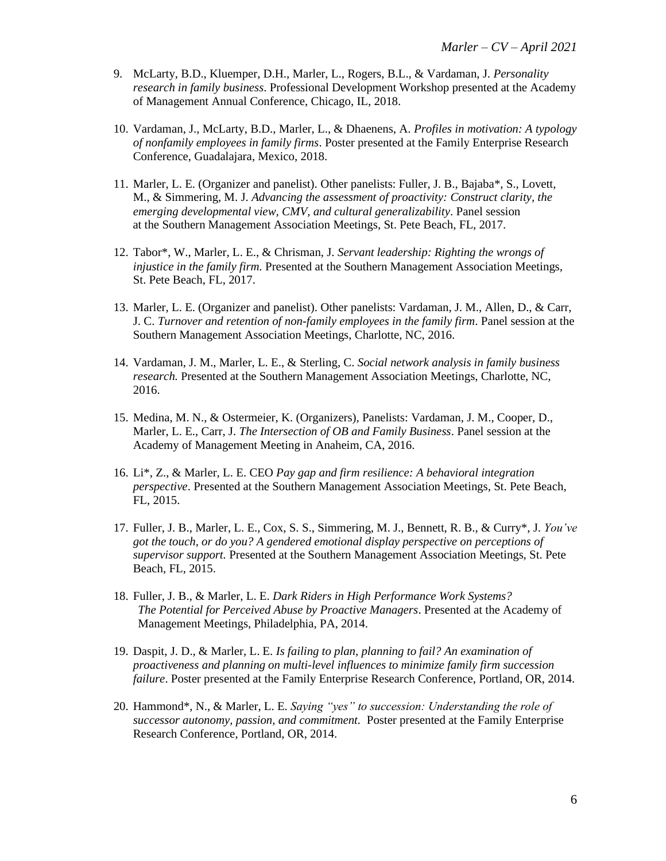- 9. McLarty, B.D., Kluemper, D.H., Marler, L., Rogers, B.L., & Vardaman, J. *Personality research in family business*. Professional Development Workshop presented at the Academy of Management Annual Conference, Chicago, IL, 2018.
- 10. Vardaman, J., McLarty, B.D., Marler, L., & Dhaenens, A. *Profiles in motivation: A typology of nonfamily employees in family firms*. Poster presented at the Family Enterprise Research Conference, Guadalajara, Mexico, 2018.
- 11. Marler, L. E. (Organizer and panelist). Other panelists: Fuller, J. B., Bajaba\*, S., Lovett, M., & Simmering, M. J. *Advancing the assessment of proactivity: Construct clarity, the emerging developmental view, CMV, and cultural generalizability*. Panel session at the Southern Management Association Meetings, St. Pete Beach, FL, 2017.
- 12. Tabor\*, W., Marler, L. E., & Chrisman, J. *Servant leadership: Righting the wrongs of injustice in the family firm.* Presented at the Southern Management Association Meetings, St. Pete Beach, FL, 2017.
- 13. Marler, L. E. (Organizer and panelist). Other panelists: Vardaman, J. M., Allen, D., & Carr, J. C. *Turnover and retention of non-family employees in the family firm*. Panel session at the Southern Management Association Meetings, Charlotte, NC, 2016.
- 14. Vardaman, J. M., Marler, L. E., & Sterling, C. *Social network analysis in family business research.* Presented at the Southern Management Association Meetings, Charlotte, NC, 2016.
- 15. Medina, M. N., & Ostermeier, K. (Organizers), Panelists: Vardaman, J. M., Cooper, D., Marler, L. E., Carr, J. *The Intersection of OB and Family Business*. Panel session at the Academy of Management Meeting in Anaheim, CA, 2016.
- 16. Li\*, Z., & Marler, L. E. CEO *Pay gap and firm resilience: A behavioral integration perspective*. Presented at the Southern Management Association Meetings, St. Pete Beach, FL, 2015.
- 17. Fuller, J. B., Marler, L. E., Cox, S. S., Simmering, M. J., Bennett, R. B., & Curry\*, J. *You've got the touch, or do you? A gendered emotional display perspective on perceptions of supervisor support.* Presented at the Southern Management Association Meetings, St. Pete Beach, FL, 2015.
- 18. Fuller, J. B., & Marler, L. E. *Dark Riders in High Performance Work Systems? The Potential for Perceived Abuse by Proactive Managers*. Presented at the Academy of Management Meetings, Philadelphia, PA, 2014.
- 19. Daspit, J. D., & Marler, L. E. *Is failing to plan, planning to fail? An examination of proactiveness and planning on multi-level influences to minimize family firm succession failure*. Poster presented at the Family Enterprise Research Conference, Portland, OR, 2014.
- 20. Hammond\*, N., & Marler, L. E. *Saying "yes" to succession: Understanding the role of successor autonomy, passion, and commitment.* Poster presented at the Family Enterprise Research Conference, Portland, OR, 2014.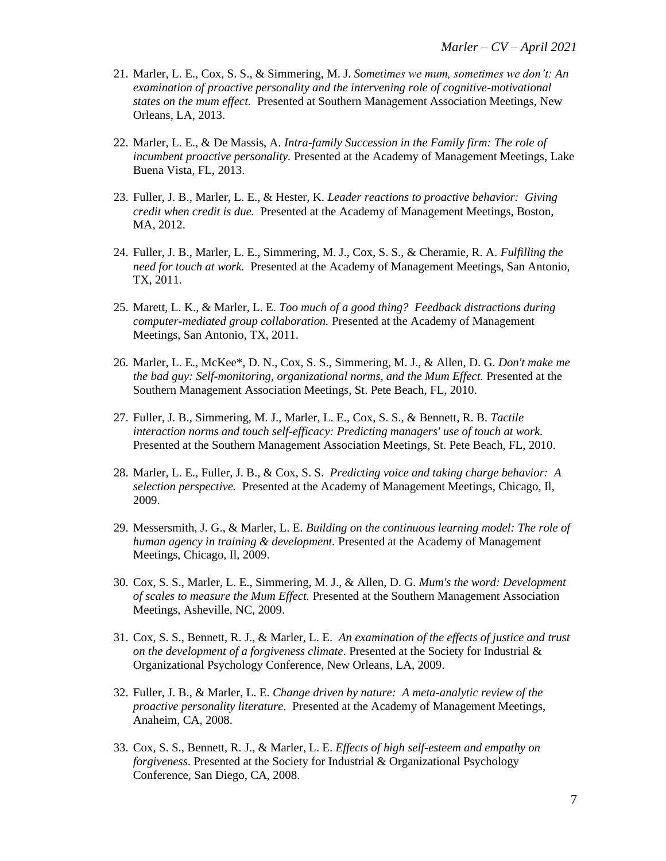- 21. Marler, L. E., Cox, S. S., & Simmering, M. J. *Sometimes we mum, sometimes we don't: An examination of proactive personality and the intervening role of cognitive-motivational states on the mum effect.* Presented at Southern Management Association Meetings, New Orleans, LA, 2013.
- 22. Marler, L. E., & De Massis, A. *Intra-family Succession in the Family firm: The role of incumbent proactive personality.* Presented at the Academy of Management Meetings, Lake Buena Vista, FL, 2013.
- 23. Fuller, J. B., Marler, L. E., & Hester, K. *Leader reactions to proactive behavior: Giving credit when credit is due.* Presented at the Academy of Management Meetings, Boston, MA, 2012.
- 24. Fuller, J. B., Marler, L. E., Simmering, M. J., Cox, S. S., & Cheramie, R. A. *Fulfilling the need for touch at work.* Presented at the Academy of Management Meetings, San Antonio, TX, 2011.
- 25. Marett, L. K., & Marler, L. E. *Too much of a good thing? Feedback distractions during computer-mediated group collaboration.* Presented at the Academy of Management Meetings, San Antonio, TX, 2011.
- 26. Marler, L. E., McKee\*, D. N., Cox, S. S., Simmering, M. J., & Allen, D. G. *Don't make me the bad guy: Self-monitoring, organizational norms, and the Mum Effect.* Presented at the Southern Management Association Meetings, St. Pete Beach, FL, 2010.
- 27. Fuller, J. B., Simmering, M. J., Marler, L. E., Cox, S. S., & Bennett, R. B. *Tactile interaction norms and touch self-efficacy: Predicting managers' use of touch at work.* Presented at the Southern Management Association Meetings, St. Pete Beach, FL, 2010.
- 28. Marler, L. E., Fuller, J. B., & Cox, S. S. *Predicting voice and taking charge behavior: A selection perspective.* Presented at the Academy of Management Meetings, Chicago, Il, 2009.
- 29. Messersmith, J. G., & Marler, L. E. *Building on the continuous learning model: The role of human agency in training & development.* Presented at the Academy of Management Meetings, Chicago, Il, 2009.
- 30. Cox, S. S., Marler, L. E., Simmering, M. J., & Allen, D. G. *Mum's the word: Development of scales to measure the Mum Effect.* Presented at the Southern Management Association Meetings, Asheville, NC, 2009.
- 31. Cox, S. S., Bennett, R. J., & Marler, L. E. *An examination of the effects of justice and trust on the development of a forgiveness climate*. Presented at the Society for Industrial & Organizational Psychology Conference, New Orleans, LA, 2009.
- 32. Fuller, J. B., & Marler, L. E. *Change driven by nature: A meta-analytic review of the proactive personality literature.* Presented at the Academy of Management Meetings, Anaheim, CA, 2008.
- 33. Cox, S. S., Bennett, R. J., & Marler, L. E. *Effects of high self-esteem and empathy on forgiveness*. Presented at the Society for Industrial & Organizational Psychology Conference, San Diego, CA, 2008.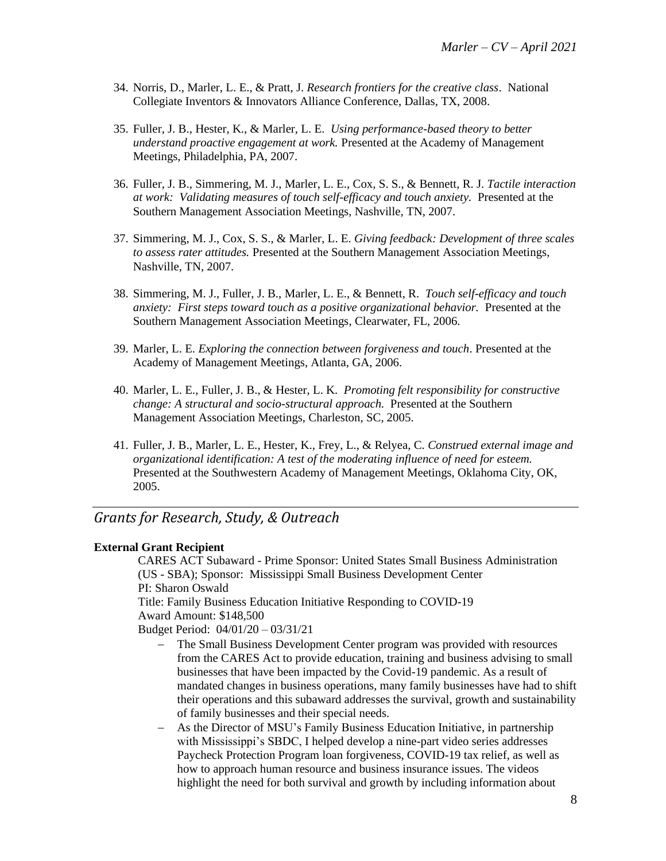- 34. Norris, D., Marler, L. E., & Pratt, J. *Research frontiers for the creative class*. National Collegiate Inventors & Innovators Alliance Conference, Dallas, TX, 2008.
- 35. Fuller, J. B., Hester, K., & Marler, L. E. *Using performance-based theory to better understand proactive engagement at work.* Presented at the Academy of Management Meetings, Philadelphia, PA, 2007.
- 36. Fuller, J. B., Simmering, M. J., Marler, L. E., Cox, S. S., & Bennett, R. J. *Tactile interaction at work: Validating measures of touch self-efficacy and touch anxiety.* Presented at the Southern Management Association Meetings, Nashville, TN, 2007.
- 37. Simmering, M. J., Cox, S. S., & Marler, L. E. *Giving feedback: Development of three scales to assess rater attitudes.* Presented at the Southern Management Association Meetings, Nashville, TN, 2007.
- 38. Simmering, M. J., Fuller, J. B., Marler, L. E., & Bennett, R. *Touch self-efficacy and touch anxiety: First steps toward touch as a positive organizational behavior.* Presented at the Southern Management Association Meetings, Clearwater, FL, 2006.
- 39. Marler, L. E. *Exploring the connection between forgiveness and touch*. Presented at the Academy of Management Meetings, Atlanta, GA, 2006.
- 40. Marler, L. E., Fuller, J. B., & Hester, L. K. *Promoting felt responsibility for constructive change: A structural and socio-structural approach.* Presented at the Southern Management Association Meetings, Charleston, SC, 2005.
- 41. Fuller, J. B., Marler, L. E., Hester, K., Frey, L., & Relyea, C. *Construed external image and organizational identification: A test of the moderating influence of need for esteem.* Presented at the Southwestern Academy of Management Meetings, Oklahoma City, OK, 2005.

# *Grants for Research, Study, & Outreach*

### **External Grant Recipient**

CARES ACT Subaward - Prime Sponsor: United States Small Business Administration (US - SBA); Sponsor: Mississippi Small Business Development Center PI: Sharon Oswald

Title: Family Business Education Initiative Responding to COVID-19 Award Amount: \$148,500

Budget Period: 04/01/20 – 03/31/21

- The Small Business Development Center program was provided with resources from the CARES Act to provide education, training and business advising to small businesses that have been impacted by the Covid-19 pandemic. As a result of mandated changes in business operations, many family businesses have had to shift their operations and this subaward addresses the survival, growth and sustainability of family businesses and their special needs.
- − As the Director of MSU's Family Business Education Initiative, in partnership with Mississippi's SBDC, I helped develop a nine-part video series addresses Paycheck Protection Program loan forgiveness, COVID-19 tax relief, as well as how to approach human resource and business insurance issues. The videos highlight the need for both survival and growth by including information about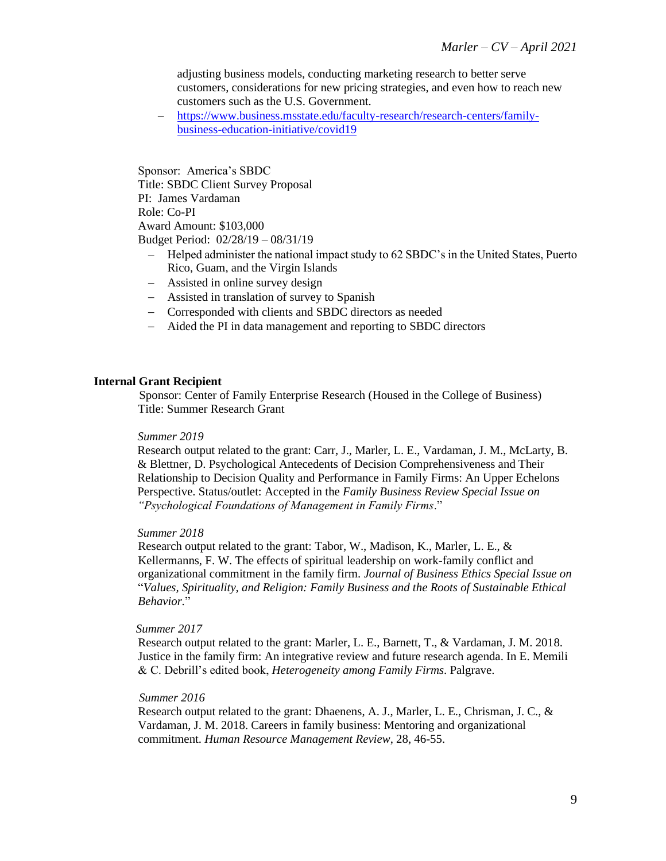adjusting business models, conducting marketing research to better serve customers, considerations for new pricing strategies, and even how to reach new customers such as the U.S. Government.

− [https://www.business.msstate.edu/faculty-research/research-centers/family](https://www.business.msstate.edu/faculty-research/research-centers/family-business-education-initiative/covid19)[business-education-initiative/covid19](https://www.business.msstate.edu/faculty-research/research-centers/family-business-education-initiative/covid19)

Sponsor: America's SBDC Title: SBDC Client Survey Proposal PI: James Vardaman Role: Co-PI Award Amount: \$103,000 Budget Period: 02/28/19 – 08/31/19

- − Helped administer the national impact study to 62 SBDC's in the United States, Puerto Rico, Guam, and the Virgin Islands
- − Assisted in online survey design
- − Assisted in translation of survey to Spanish
- − Corresponded with clients and SBDC directors as needed
- − Aided the PI in data management and reporting to SBDC directors

#### **Internal Grant Recipient**

Sponsor: Center of Family Enterprise Research (Housed in the College of Business) Title: Summer Research Grant

#### *Summer 2019*

Research output related to the grant: Carr, J., Marler, L. E., Vardaman, J. M., McLarty, B. & Blettner, D. Psychological Antecedents of Decision Comprehensiveness and Their Relationship to Decision Quality and Performance in Family Firms: An Upper Echelons Perspective. Status/outlet: Accepted in the *Family Business Review Special Issue on "Psychological Foundations of Management in Family Firms*."

### *Summer 2018*

Research output related to the grant: Tabor, W., Madison, K., Marler, L. E., & Kellermanns, F. W. The effects of spiritual leadership on work-family conflict and organizational commitment in the family firm. *Journal of Business Ethics Special Issue on*  "*Values, Spirituality, and Religion: Family Business and the Roots of Sustainable Ethical Behavior.*"

#### *Summer 2017*

Research output related to the grant: Marler, L. E., Barnett, T., & Vardaman, J. M. 2018. Justice in the family firm: An integrative review and future research agenda. In E. Memili & C. Debrill's edited book, *Heterogeneity among Family Firms*. Palgrave.

#### *Summer 2016*

Research output related to the grant: Dhaenens, A. J., Marler, L. E., Chrisman, J. C., & Vardaman, J. M. 2018. Careers in family business: Mentoring and organizational commitment. *Human Resource Management Review*, 28, 46-55.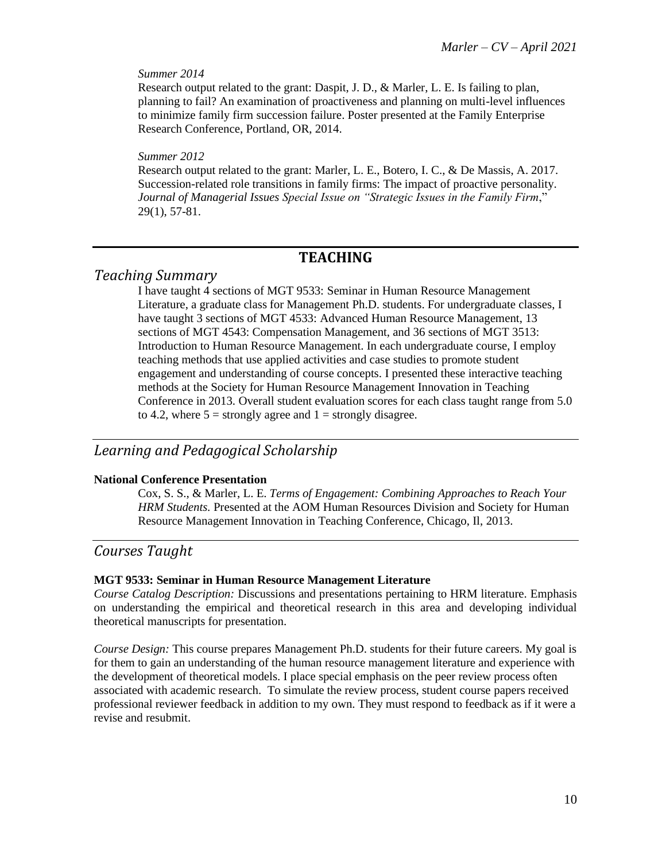### *Summer 2014*

Research output related to the grant: Daspit, J. D., & Marler, L. E. Is failing to plan, planning to fail? An examination of proactiveness and planning on multi-level influences to minimize family firm succession failure. Poster presented at the Family Enterprise Research Conference, Portland, OR, 2014.

### *Summer 2012*

Research output related to the grant: Marler, L. E., Botero, I. C., & De Massis, A. 2017. Succession-related role transitions in family firms: The impact of proactive personality. *Journal of Managerial Issues Special Issue on "Strategic Issues in the Family Firm*," 29(1), 57-81.

# **TEACHING**

# *Teaching Summary*

I have taught 4 sections of MGT 9533: Seminar in Human Resource Management Literature, a graduate class for Management Ph.D. students. For undergraduate classes, I have taught 3 sections of MGT 4533: Advanced Human Resource Management, 13 sections of MGT 4543: Compensation Management, and 36 sections of MGT 3513: Introduction to Human Resource Management. In each undergraduate course, I employ teaching methods that use applied activities and case studies to promote student engagement and understanding of course concepts. I presented these interactive teaching methods at the Society for Human Resource Management Innovation in Teaching Conference in 2013. Overall student evaluation scores for each class taught range from 5.0 to 4.2, where  $5 =$  strongly agree and  $1 =$  strongly disagree.

# *Learning and Pedagogical Scholarship*

### **National Conference Presentation**

Cox, S. S., & Marler, L. E. *Terms of Engagement: Combining Approaches to Reach Your HRM Students.* Presented at the AOM Human Resources Division and Society for Human Resource Management Innovation in Teaching Conference, Chicago, Il, 2013.

# *Courses Taught*

### **MGT 9533: Seminar in Human Resource Management Literature**

*Course Catalog Description:* Discussions and presentations pertaining to HRM literature. Emphasis on understanding the empirical and theoretical research in this area and developing individual theoretical manuscripts for presentation.

*Course Design:* This course prepares Management Ph.D. students for their future careers. My goal is for them to gain an understanding of the human resource management literature and experience with the development of theoretical models. I place special emphasis on the peer review process often associated with academic research. To simulate the review process, student course papers received professional reviewer feedback in addition to my own. They must respond to feedback as if it were a revise and resubmit.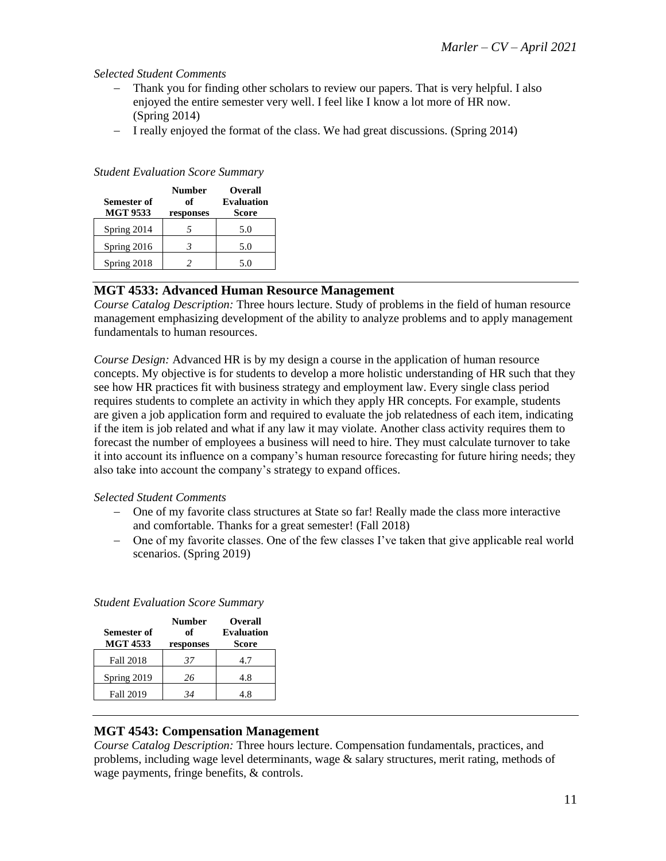### *Selected Student Comments*

- − Thank you for finding other scholars to review our papers. That is very helpful. I also enjoyed the entire semester very well. I feel like I know a lot more of HR now. (Spring 2014)
- − I really enjoyed the format of the class. We had great discussions. (Spring 2014)

| Semester of<br><b>MGT 9533</b> | <b>Number</b><br>of<br>responses | <b>Overall</b><br><b>Evaluation</b><br>Score |
|--------------------------------|----------------------------------|----------------------------------------------|
| Spring 2014                    |                                  | 5.0                                          |
| Spring 2016                    |                                  | 5.0                                          |
| Spring 2018                    |                                  | 5.0                                          |

### *Student Evaluation Score Summary*

### **MGT 4533: Advanced Human Resource Management**

*Course Catalog Description:* Three hours lecture. Study of problems in the field of human resource management emphasizing development of the ability to analyze problems and to apply management fundamentals to human resources.

*Course Design:* Advanced HR is by my design a course in the application of human resource concepts. My objective is for students to develop a more holistic understanding of HR such that they see how HR practices fit with business strategy and employment law. Every single class period requires students to complete an activity in which they apply HR concepts. For example, students are given a job application form and required to evaluate the job relatedness of each item, indicating if the item is job related and what if any law it may violate. Another class activity requires them to forecast the number of employees a business will need to hire. They must calculate turnover to take it into account its influence on a company's human resource forecasting for future hiring needs; they also take into account the company's strategy to expand offices.

### *Selected Student Comments*

- − One of my favorite class structures at State so far! Really made the class more interactive and comfortable. Thanks for a great semester! (Fall 2018)
- − One of my favorite classes. One of the few classes I've taken that give applicable real world scenarios. (Spring 2019)

| <b>Semester of</b><br><b>MGT 4533</b> | <b>Number</b><br>of<br>responses | Overall<br><b>Evaluation</b><br>Score |
|---------------------------------------|----------------------------------|---------------------------------------|
| <b>Fall 2018</b>                      | 37                               | 4.7                                   |
| Spring 2019                           | 26                               | 4.8                                   |
| <b>Fall 2019</b>                      | 34                               | 4.8                                   |

### *Student Evaluation Score Summary*

### **MGT 4543: Compensation Management**

*Course Catalog Description:* Three hours lecture. Compensation fundamentals, practices, and problems, including wage level determinants, wage & salary structures, merit rating, methods of wage payments, fringe benefits, & controls.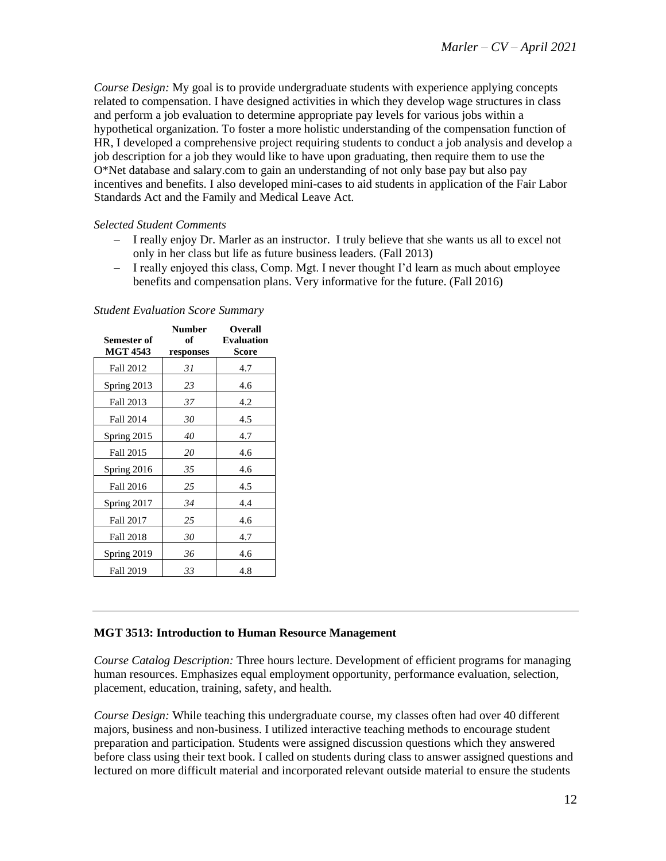*Course Design:* My goal is to provide undergraduate students with experience applying concepts related to compensation. I have designed activities in which they develop wage structures in class and perform a job evaluation to determine appropriate pay levels for various jobs within a hypothetical organization. To foster a more holistic understanding of the compensation function of HR, I developed a comprehensive project requiring students to conduct a job analysis and develop a job description for a job they would like to have upon graduating, then require them to use the O\*Net database and salary.com to gain an understanding of not only base pay but also pay incentives and benefits. I also developed mini-cases to aid students in application of the Fair Labor Standards Act and the Family and Medical Leave Act.

### *Selected Student Comments*

- − I really enjoy Dr. Marler as an instructor. I truly believe that she wants us all to excel not only in her class but life as future business leaders. (Fall 2013)
- − I really enjoyed this class, Comp. Mgt. I never thought I'd learn as much about employee benefits and compensation plans. Very informative for the future. (Fall 2016)

| Semester of<br><b>MGT 4543</b> | <b>Number</b><br>of<br>responses | <b>Overall</b><br><b>Evaluation</b><br>Score |
|--------------------------------|----------------------------------|----------------------------------------------|
| Fall 2012                      | 31                               | 4.7                                          |
| Spring 2013                    | 23                               | 4.6                                          |
| Fall 2013                      | 37                               | 4.2                                          |
| Fall 2014                      | 30                               | 4.5                                          |
| Spring 2015                    | 40                               | 4.7                                          |
| Fall 2015                      | 20                               | 4.6                                          |
| Spring 2016                    | 35                               | 4.6                                          |
| Fall 2016                      | 25                               | 4.5                                          |
| Spring 2017                    | 34                               | 4.4                                          |
| <b>Fall 2017</b>               | 25                               | 4.6                                          |
| <b>Fall 2018</b>               | 30                               | 4.7                                          |
| Spring 2019                    | 36                               | 4.6                                          |
| <b>Fall 2019</b>               | 33                               | 4.8                                          |

#### *Student Evaluation Score Summary*

### **MGT 3513: Introduction to Human Resource Management**

*Course Catalog Description:* Three hours lecture. Development of efficient programs for managing human resources. Emphasizes equal employment opportunity, performance evaluation, selection, placement, education, training, safety, and health.

*Course Design:* While teaching this undergraduate course, my classes often had over 40 different majors, business and non-business. I utilized interactive teaching methods to encourage student preparation and participation. Students were assigned discussion questions which they answered before class using their text book. I called on students during class to answer assigned questions and lectured on more difficult material and incorporated relevant outside material to ensure the students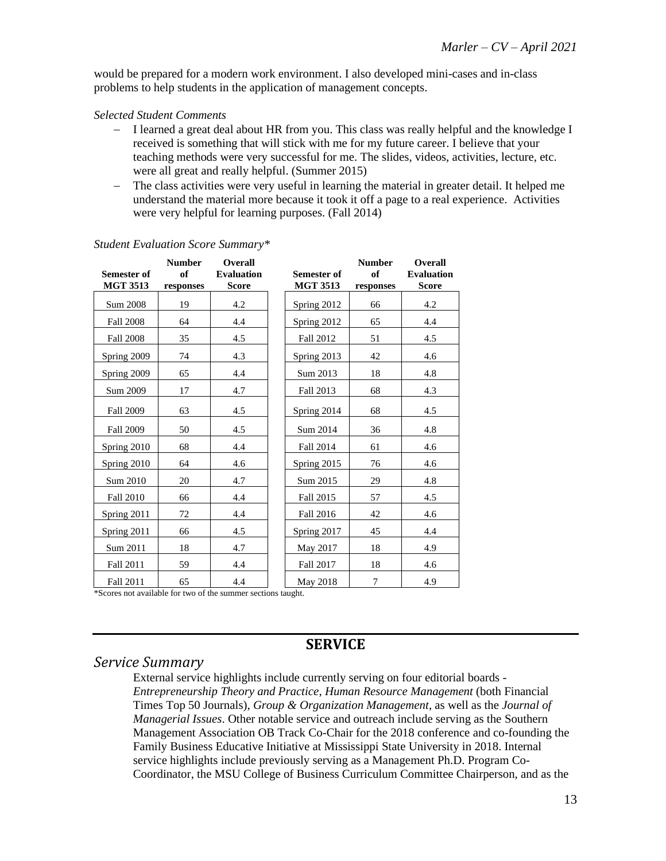would be prepared for a modern work environment. I also developed mini-cases and in-class problems to help students in the application of management concepts.

### *Selected Student Comments*

- − I learned a great deal about HR from you. This class was really helpful and the knowledge I received is something that will stick with me for my future career. I believe that your teaching methods were very successful for me. The slides, videos, activities, lecture, etc. were all great and really helpful. (Summer 2015)
- − The class activities were very useful in learning the material in greater detail. It helped me understand the material more because it took it off a page to a real experience. Activities were very helpful for learning purposes. (Fall 2014)

|                                                                          | <b>Number</b> | Overall           |                    | <b>Number</b> | <b>Overall</b>    |
|--------------------------------------------------------------------------|---------------|-------------------|--------------------|---------------|-------------------|
| <b>Semester of</b>                                                       | of            | <b>Evaluation</b> | <b>Semester of</b> | of            | <b>Evaluation</b> |
| <b>MGT 3513</b>                                                          | responses     | <b>Score</b>      | <b>MGT 3513</b>    | responses     | <b>Score</b>      |
| Sum 2008                                                                 | 19            | 4.2               | Spring 2012        | 66            | 4.2               |
| <b>Fall 2008</b>                                                         | 64            | 4.4               | Spring 2012        | 65            | 4.4               |
| <b>Fall 2008</b>                                                         | 35            | 4.5               | Fall 2012          | 51            | 4.5               |
| Spring 2009                                                              | 74            | 4.3               | Spring 2013        | 42            | 4.6               |
| Spring 2009                                                              | 65            | 4.4               | Sum 2013           | 18            | 4.8               |
| Sum 2009                                                                 | 17            | 4.7               | Fall 2013          | 68            | 4.3               |
| <b>Fall 2009</b>                                                         | 63            | 4.5               | Spring 2014        | 68            | 4.5               |
| <b>Fall 2009</b>                                                         | 50            | 4.5               | Sum 2014           | 36            | 4.8               |
| Spring 2010                                                              | 68            | 4.4               | Fall 2014          | 61            | 4.6               |
| Spring 2010                                                              | 64            | 4.6               | Spring 2015        | 76            | 4.6               |
| Sum 2010                                                                 | 20            | 4.7               | Sum 2015           | 29            | 4.8               |
| <b>Fall 2010</b>                                                         | 66            | 4.4               | Fall 2015          | 57            | 4.5               |
| Spring 2011                                                              | 72            | 4.4               | Fall 2016          | 42            | 4.6               |
| Spring 2011                                                              | 66            | 4.5               | Spring 2017        | 45            | 4.4               |
| Sum 2011                                                                 | 18            | 4.7               | May 2017           | 18            | 4.9               |
| Fall 2011                                                                | 59            | 4.4               | Fall 2017          | 18            | 4.6               |
| Fall 2011<br>*Scores not available for two of the summer sections taught | 65            | 4.4               | May 2018           | 7             | 4.9               |

### *Student Evaluation Score Summary\**

Scores not available for two of the summer sections taught.

## **SERVICE**

### *Service Summary*

External service highlights include currently serving on four editorial boards - *Entrepreneurship Theory and Practice*, *Human Resource Management* (both Financial Times Top 50 Journals), *Group & Organization Management*, as well as the *Journal of Managerial Issues*. Other notable service and outreach include serving as the Southern Management Association OB Track Co-Chair for the 2018 conference and co-founding the Family Business Educative Initiative at Mississippi State University in 2018. Internal service highlights include previously serving as a Management Ph.D. Program Co-Coordinator, the MSU College of Business Curriculum Committee Chairperson, and as the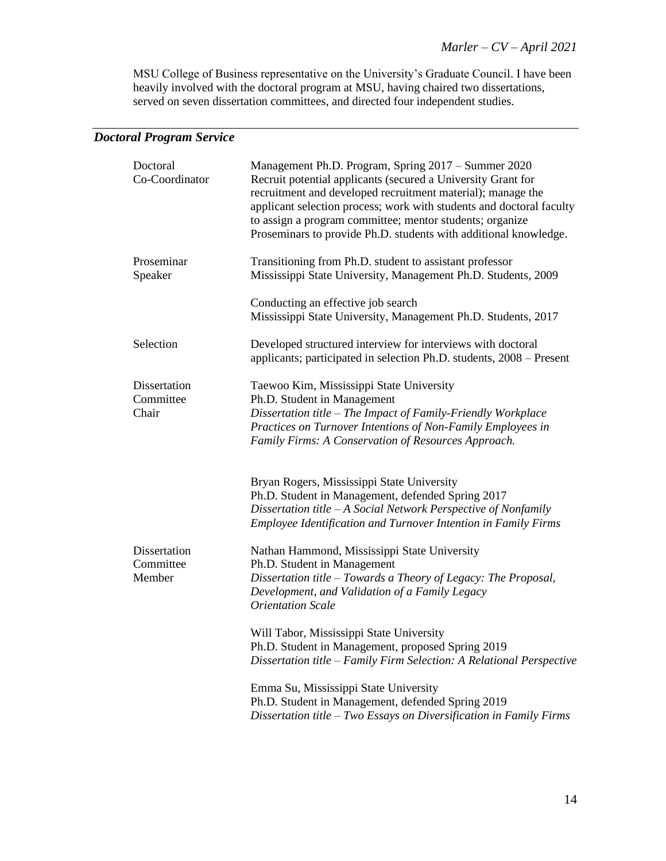MSU College of Business representative on the University's Graduate Council. I have been heavily involved with the doctoral program at MSU, having chaired two dissertations, served on seven dissertation committees, and directed four independent studies.

# *Doctoral Program Service*

| Doctoral<br>Co-Coordinator          | Management Ph.D. Program, Spring 2017 - Summer 2020<br>Recruit potential applicants (secured a University Grant for<br>recruitment and developed recruitment material); manage the<br>applicant selection process; work with students and doctoral faculty<br>to assign a program committee; mentor students; organize<br>Proseminars to provide Ph.D. students with additional knowledge. |
|-------------------------------------|--------------------------------------------------------------------------------------------------------------------------------------------------------------------------------------------------------------------------------------------------------------------------------------------------------------------------------------------------------------------------------------------|
| Proseminar<br>Speaker               | Transitioning from Ph.D. student to assistant professor<br>Mississippi State University, Management Ph.D. Students, 2009                                                                                                                                                                                                                                                                   |
|                                     | Conducting an effective job search<br>Mississippi State University, Management Ph.D. Students, 2017                                                                                                                                                                                                                                                                                        |
| Selection                           | Developed structured interview for interviews with doctoral<br>applicants; participated in selection Ph.D. students, 2008 - Present                                                                                                                                                                                                                                                        |
| Dissertation<br>Committee<br>Chair  | Taewoo Kim, Mississippi State University<br>Ph.D. Student in Management<br>Dissertation title - The Impact of Family-Friendly Workplace<br>Practices on Turnover Intentions of Non-Family Employees in<br>Family Firms: A Conservation of Resources Approach.                                                                                                                              |
|                                     | Bryan Rogers, Mississippi State University<br>Ph.D. Student in Management, defended Spring 2017<br>Dissertation title - A Social Network Perspective of Nonfamily<br>Employee Identification and Turnover Intention in Family Firms                                                                                                                                                        |
| Dissertation<br>Committee<br>Member | Nathan Hammond, Mississippi State University<br>Ph.D. Student in Management<br>Dissertation title - Towards a Theory of Legacy: The Proposal,<br>Development, and Validation of a Family Legacy<br><b>Orientation Scale</b>                                                                                                                                                                |
|                                     | Will Tabor, Mississippi State University<br>Ph.D. Student in Management, proposed Spring 2019<br>Dissertation title - Family Firm Selection: A Relational Perspective                                                                                                                                                                                                                      |
|                                     | Emma Su, Mississippi State University<br>Ph.D. Student in Management, defended Spring 2019<br>Dissertation title - Two Essays on Diversification in Family Firms                                                                                                                                                                                                                           |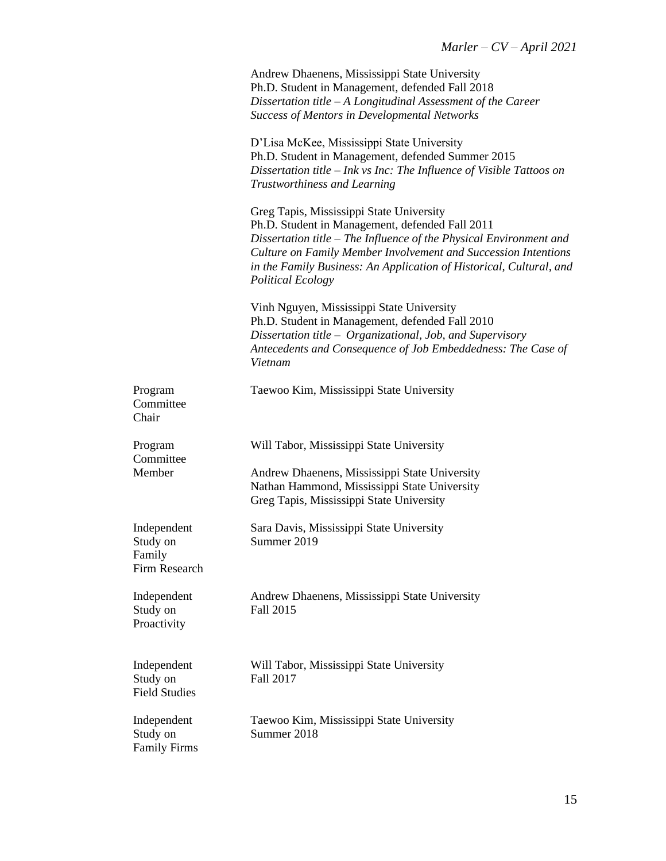Andrew Dhaenens, Mississippi State University Ph.D. Student in Management, defended Fall 2018 *Dissertation title – A Longitudinal Assessment of the Career Success of Mentors in Developmental Networks*

D'Lisa McKee, Mississippi State University Ph.D. Student in Management, defended Summer 2015 *Dissertation title – Ink vs Inc: The Influence of Visible Tattoos on Trustworthiness and Learning*

Greg Tapis, Mississippi State University Ph.D. Student in Management, defended Fall 2011 *Dissertation title – The Influence of the Physical Environment and Culture on Family Member Involvement and Succession Intentions in the Family Business: An Application of Historical, Cultural, and Political Ecology*

Vinh Nguyen, Mississippi State University Ph.D. Student in Management, defended Fall 2010 *Dissertation title – Organizational, Job, and Supervisory Antecedents and Consequence of Job Embeddedness: The Case of Vietnam*

| Program<br>Committee<br>Chair                      | Taewoo Kim, Mississippi State University                                                                                                  |
|----------------------------------------------------|-------------------------------------------------------------------------------------------------------------------------------------------|
| Program<br>Committee                               | Will Tabor, Mississippi State University                                                                                                  |
| Member                                             | Andrew Dhaenens, Mississippi State University<br>Nathan Hammond, Mississippi State University<br>Greg Tapis, Mississippi State University |
| Independent<br>Study on<br>Family<br>Firm Research | Sara Davis, Mississippi State University<br>Summer 2019                                                                                   |
| Independent<br>Study on<br>Proactivity             | Andrew Dhaenens, Mississippi State University<br>Fall 2015                                                                                |
| Independent<br>Study on<br><b>Field Studies</b>    | Will Tabor, Mississippi State University<br>Fall 2017                                                                                     |
| Independent<br>Study on<br><b>Family Firms</b>     | Taewoo Kim, Mississippi State University<br>Summer 2018                                                                                   |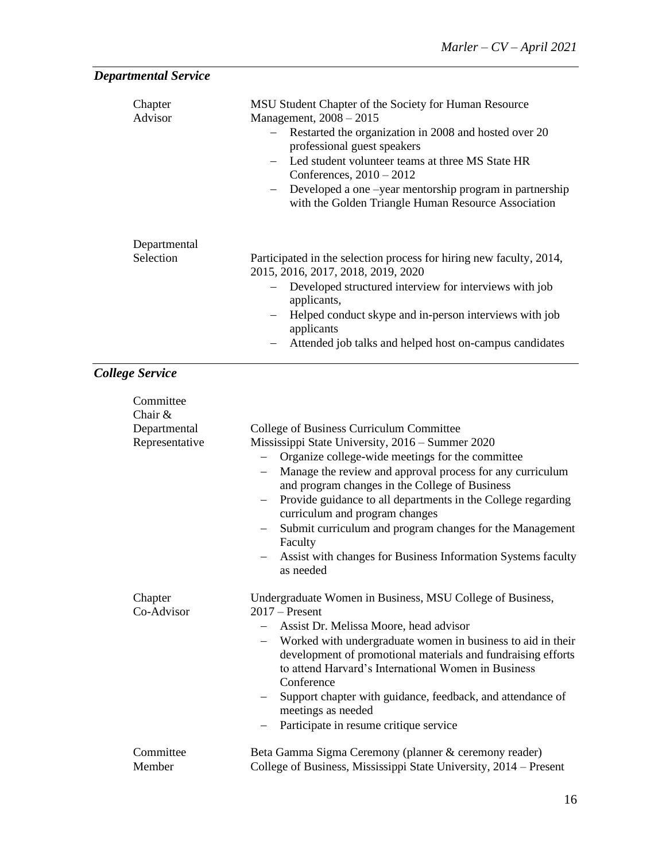| <b>Departmental Service</b>                              |                                                                                                                                                                                                                                                                                                                                                                              |
|----------------------------------------------------------|------------------------------------------------------------------------------------------------------------------------------------------------------------------------------------------------------------------------------------------------------------------------------------------------------------------------------------------------------------------------------|
| Chapter<br>Advisor                                       | MSU Student Chapter of the Society for Human Resource<br>Management, 2008 - 2015<br>Restarted the organization in 2008 and hosted over 20<br>professional guest speakers<br>Led student volunteer teams at three MS State HR<br>Conferences, $2010 - 2012$<br>Developed a one -year mentorship program in partnership<br>with the Golden Triangle Human Resource Association |
| Departmental<br>Selection                                | Participated in the selection process for hiring new faculty, 2014,<br>2015, 2016, 2017, 2018, 2019, 2020<br>Developed structured interview for interviews with job<br>applicants,<br>Helped conduct skype and in-person interviews with job<br>applicants<br>Attended job talks and helped host on-campus candidates                                                        |
| <b>College Service</b>                                   |                                                                                                                                                                                                                                                                                                                                                                              |
| Committee<br>Chair $&$<br>Departmental<br>Representative | College of Business Curriculum Committee<br>Mississippi State University, 2016 - Summer 2020<br>Organize college-wide meetings for the committee<br>Manage the review and approval process for any curriculum<br>$\overline{\phantom{m}}$<br>and program changes in the College of Business                                                                                  |

| Chair $\&$            |                                                                                                                                                                                                                              |
|-----------------------|------------------------------------------------------------------------------------------------------------------------------------------------------------------------------------------------------------------------------|
| Departmental          | College of Business Curriculum Committee                                                                                                                                                                                     |
| Representative        | Mississippi State University, 2016 - Summer 2020                                                                                                                                                                             |
|                       | Organize college-wide meetings for the committee                                                                                                                                                                             |
|                       | Manage the review and approval process for any curriculum<br>and program changes in the College of Business                                                                                                                  |
|                       | Provide guidance to all departments in the College regarding<br>$ \,$<br>curriculum and program changes                                                                                                                      |
|                       | Submit curriculum and program changes for the Management<br>Faculty                                                                                                                                                          |
|                       | Assist with changes for Business Information Systems faculty<br>as needed                                                                                                                                                    |
| Chapter<br>Co-Advisor | Undergraduate Women in Business, MSU College of Business,<br>$2017$ – Present                                                                                                                                                |
|                       | Assist Dr. Melissa Moore, head advisor                                                                                                                                                                                       |
|                       | Worked with undergraduate women in business to aid in their<br>$\overline{\phantom{m}}$<br>development of promotional materials and fundraising efforts<br>to attend Harvard's International Women in Business<br>Conference |
|                       | Support chapter with guidance, feedback, and attendance of<br>$\overline{\phantom{0}}$<br>meetings as needed                                                                                                                 |
|                       | Participate in resume critique service<br>$-$                                                                                                                                                                                |
| Committee<br>Member   | Beta Gamma Sigma Ceremony (planner & ceremony reader)<br>College of Business, Mississippi State University, 2014 – Present                                                                                                   |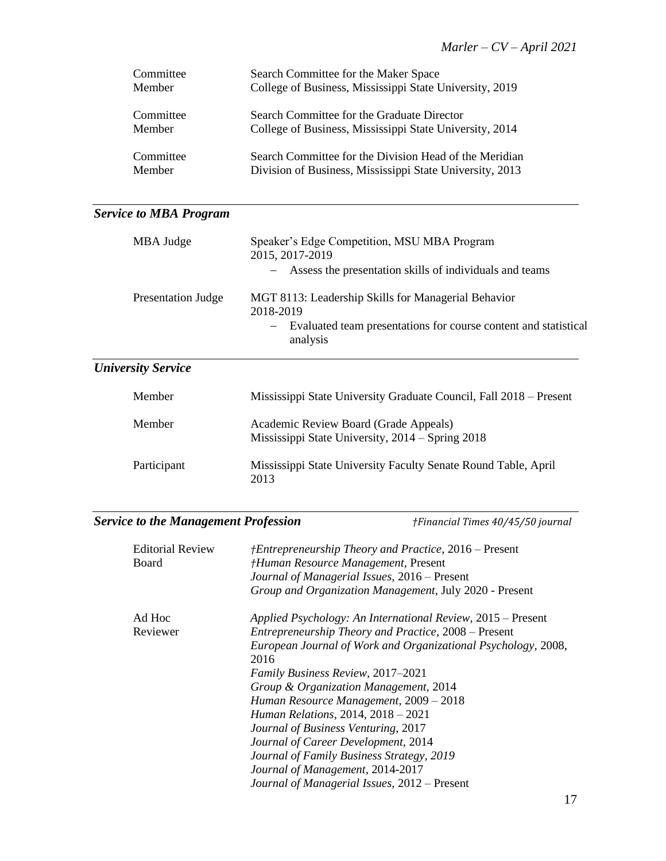| Committee | Search Committee for the Maker Space                     |
|-----------|----------------------------------------------------------|
| Member    | College of Business, Mississippi State University, 2019  |
| Committee | Search Committee for the Graduate Director               |
| Member    | College of Business, Mississippi State University, 2014  |
| Committee | Search Committee for the Division Head of the Meridian   |
| Member    | Division of Business, Mississippi State University, 2013 |

# *Service to MBA Program*

| MBA Judge                 | Speaker's Edge Competition, MSU MBA Program<br>2015, 2017-2019<br>Assess the presentation skills of individuals and teams                                            |
|---------------------------|----------------------------------------------------------------------------------------------------------------------------------------------------------------------|
| Presentation Judge        | MGT 8113: Leadership Skills for Managerial Behavior<br>2018-2019<br>Evaluated team presentations for course content and statistical<br>$\qquad \qquad -$<br>analysis |
| <b>University Service</b> |                                                                                                                                                                      |
| Member                    | Mississippi State University Graduate Council, Fall 2018 – Present                                                                                                   |

| <b>IVIEHIDEI</b> | MISSISSIPPI State University Graduate Council, Pari 2016 – Present                        |
|------------------|-------------------------------------------------------------------------------------------|
| Member           | Academic Review Board (Grade Appeals)<br>Mississippi State University, 2014 – Spring 2018 |
| Participant      | Mississippi State University Faculty Senate Round Table, April<br>2013                    |

# *Service to the Management Profession †Financial Times 40/45/50 journal*

| <b>Editorial Review</b><br>Board | <i>†Entrepreneurship Theory and Practice, 2016 – Present</i><br>†Human Resource Management, Present<br>Journal of Managerial Issues, 2016 – Present<br>Group and Organization Management, July 2020 - Present |
|----------------------------------|---------------------------------------------------------------------------------------------------------------------------------------------------------------------------------------------------------------|
| Ad Hoc                           | Applied Psychology: An International Review, 2015 – Present                                                                                                                                                   |
| Reviewer                         | Entrepreneurship Theory and Practice, 2008 – Present                                                                                                                                                          |
|                                  | European Journal of Work and Organizational Psychology, 2008,                                                                                                                                                 |
|                                  | 2016                                                                                                                                                                                                          |
|                                  | Family Business Review, 2017-2021                                                                                                                                                                             |
|                                  | Group & Organization Management, 2014                                                                                                                                                                         |
|                                  | Human Resource Management, 2009 - 2018                                                                                                                                                                        |
|                                  | <i>Human Relations, 2014, 2018 – 2021</i>                                                                                                                                                                     |
|                                  | Journal of Business Venturing, 2017                                                                                                                                                                           |
|                                  | Journal of Career Development, 2014                                                                                                                                                                           |
|                                  | Journal of Family Business Strategy, 2019                                                                                                                                                                     |
|                                  | Journal of Management, 2014-2017                                                                                                                                                                              |
|                                  | Journal of Managerial Issues, 2012 – Present                                                                                                                                                                  |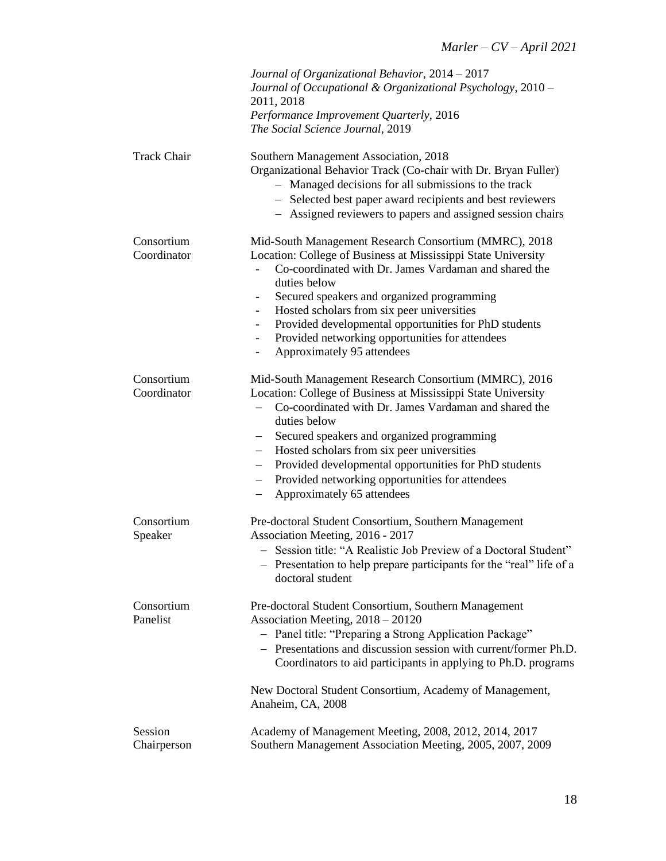|                           | Journal of Organizational Behavior, 2014 - 2017<br>Journal of Occupational & Organizational Psychology, 2010 -<br>2011, 2018<br>Performance Improvement Quarterly, 2016<br>The Social Science Journal, 2019                                                                                                                                                                                                                                                                                                               |
|---------------------------|---------------------------------------------------------------------------------------------------------------------------------------------------------------------------------------------------------------------------------------------------------------------------------------------------------------------------------------------------------------------------------------------------------------------------------------------------------------------------------------------------------------------------|
| <b>Track Chair</b>        | Southern Management Association, 2018<br>Organizational Behavior Track (Co-chair with Dr. Bryan Fuller)<br>- Managed decisions for all submissions to the track<br>- Selected best paper award recipients and best reviewers<br>- Assigned reviewers to papers and assigned session chairs                                                                                                                                                                                                                                |
| Consortium<br>Coordinator | Mid-South Management Research Consortium (MMRC), 2018<br>Location: College of Business at Mississippi State University<br>Co-coordinated with Dr. James Vardaman and shared the<br>duties below<br>Secured speakers and organized programming<br>$\overline{\phantom{0}}$<br>Hosted scholars from six peer universities<br>$\overline{\phantom{0}}$<br>Provided developmental opportunities for PhD students<br>$\overline{\phantom{0}}$<br>Provided networking opportunities for attendees<br>Approximately 95 attendees |
| Consortium<br>Coordinator | Mid-South Management Research Consortium (MMRC), 2016<br>Location: College of Business at Mississippi State University<br>Co-coordinated with Dr. James Vardaman and shared the<br>duties below<br>Secured speakers and organized programming<br>Hosted scholars from six peer universities<br>$\overline{\phantom{0}}$<br>Provided developmental opportunities for PhD students<br>$\overline{\phantom{0}}$<br>Provided networking opportunities for attendees<br>$\overline{\phantom{0}}$<br>Approximately 65 attendees |
| Consortium<br>Speaker     | Pre-doctoral Student Consortium, Southern Management<br>Association Meeting, 2016 - 2017<br>- Session title: "A Realistic Job Preview of a Doctoral Student"<br>- Presentation to help prepare participants for the "real" life of a<br>doctoral student                                                                                                                                                                                                                                                                  |
| Consortium<br>Panelist    | Pre-doctoral Student Consortium, Southern Management<br>Association Meeting, 2018 - 20120<br>- Panel title: "Preparing a Strong Application Package"<br>- Presentations and discussion session with current/former Ph.D.<br>Coordinators to aid participants in applying to Ph.D. programs<br>New Doctoral Student Consortium, Academy of Management,<br>Anaheim, CA, 2008                                                                                                                                                |
| Session<br>Chairperson    | Academy of Management Meeting, 2008, 2012, 2014, 2017<br>Southern Management Association Meeting, 2005, 2007, 2009                                                                                                                                                                                                                                                                                                                                                                                                        |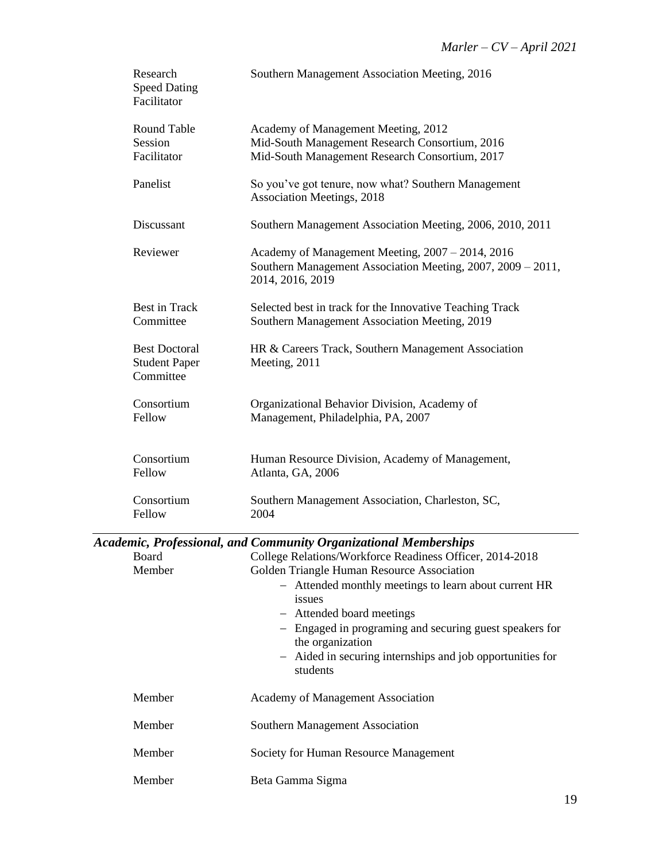| Research<br><b>Speed Dating</b><br>Facilitator            | Southern Management Association Meeting, 2016                                                                                                                                                                                                                                                                                |
|-----------------------------------------------------------|------------------------------------------------------------------------------------------------------------------------------------------------------------------------------------------------------------------------------------------------------------------------------------------------------------------------------|
| Round Table<br>Session<br>Facilitator                     | Academy of Management Meeting, 2012<br>Mid-South Management Research Consortium, 2016<br>Mid-South Management Research Consortium, 2017                                                                                                                                                                                      |
| Panelist                                                  | So you've got tenure, now what? Southern Management<br><b>Association Meetings, 2018</b>                                                                                                                                                                                                                                     |
| Discussant                                                | Southern Management Association Meeting, 2006, 2010, 2011                                                                                                                                                                                                                                                                    |
| Reviewer                                                  | Academy of Management Meeting, 2007 - 2014, 2016<br>Southern Management Association Meeting, 2007, 2009 - 2011,<br>2014, 2016, 2019                                                                                                                                                                                          |
| Best in Track<br>Committee                                | Selected best in track for the Innovative Teaching Track<br>Southern Management Association Meeting, 2019                                                                                                                                                                                                                    |
| <b>Best Doctoral</b><br><b>Student Paper</b><br>Committee | HR & Careers Track, Southern Management Association<br>Meeting, 2011                                                                                                                                                                                                                                                         |
| Consortium<br>Fellow                                      | Organizational Behavior Division, Academy of<br>Management, Philadelphia, PA, 2007                                                                                                                                                                                                                                           |
| Consortium<br>Fellow                                      | Human Resource Division, Academy of Management,<br>Atlanta, GA, 2006                                                                                                                                                                                                                                                         |
| Consortium<br>Fellow                                      | Southern Management Association, Charleston, SC,<br>2004                                                                                                                                                                                                                                                                     |
|                                                           | <b>Academic, Professional, and Community Organizational Memberships</b>                                                                                                                                                                                                                                                      |
| Board                                                     | College Relations/Workforce Readiness Officer, 2014-2018                                                                                                                                                                                                                                                                     |
| Member                                                    | Golden Triangle Human Resource Association<br>- Attended monthly meetings to learn about current HR<br>issues<br>Attended board meetings<br>$\overline{\phantom{0}}$<br>- Engaged in programing and securing guest speakers for<br>the organization<br>- Aided in securing internships and job opportunities for<br>students |
| Member                                                    | Academy of Management Association                                                                                                                                                                                                                                                                                            |
| Member                                                    | Southern Management Association                                                                                                                                                                                                                                                                                              |
| Member                                                    | Society for Human Resource Management                                                                                                                                                                                                                                                                                        |
| Member                                                    | Beta Gamma Sigma                                                                                                                                                                                                                                                                                                             |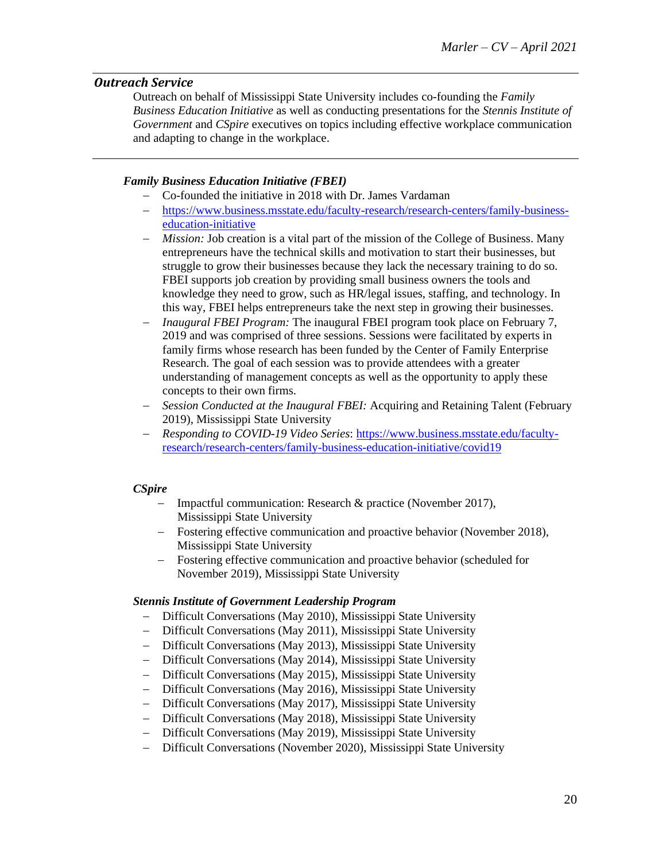### *Outreach Service*

Outreach on behalf of Mississippi State University includes co-founding the *Family Business Education Initiative* as well as conducting presentations for the *Stennis Institute of Government* and *CSpire* executives on topics including effective workplace communication and adapting to change in the workplace.

### *Family Business Education Initiative (FBEI)*

- − Co-founded the initiative in 2018 with Dr. James Vardaman
- − [https://www.business.msstate.edu/faculty-research/research-centers/family-business](https://www.business.msstate.edu/faculty-research/research-centers/family-business-education-initiative)[education-initiative](https://www.business.msstate.edu/faculty-research/research-centers/family-business-education-initiative)
- − *Mission:* Job creation is a vital part of the mission of the College of Business. Many entrepreneurs have the technical skills and motivation to start their businesses, but struggle to grow their businesses because they lack the necessary training to do so. FBEI supports job creation by providing small business owners the tools and knowledge they need to grow, such as HR/legal issues, staffing, and technology. In this way, FBEI helps entrepreneurs take the next step in growing their businesses.
- *Inaugural FBEI Program:* The inaugural FBEI program took place on February 7, 2019 and was comprised of three sessions. Sessions were facilitated by experts in family firms whose research has been funded by the Center of Family Enterprise Research. The goal of each session was to provide attendees with a greater understanding of management concepts as well as the opportunity to apply these concepts to their own firms.
- − *Session Conducted at the Inaugural FBEI:* Acquiring and Retaining Talent (February 2019), Mississippi State University
- − *Responding to COVID-19 Video Series*: [https://www.business.msstate.edu/faculty](https://www.business.msstate.edu/faculty-research/research-centers/family-business-education-initiative/covid19)[research/research-centers/family-business-education-initiative/covid19](https://www.business.msstate.edu/faculty-research/research-centers/family-business-education-initiative/covid19)

### *CSpire*

- − Impactful communication: Research & practice (November 2017), Mississippi State University
- − Fostering effective communication and proactive behavior (November 2018), Mississippi State University
- Fostering effective communication and proactive behavior (scheduled for November 2019), Mississippi State University

### *Stennis Institute of Government Leadership Program*

- − Difficult Conversations (May 2010), Mississippi State University
- − Difficult Conversations (May 2011), Mississippi State University
- − Difficult Conversations (May 2013), Mississippi State University
- − Difficult Conversations (May 2014), Mississippi State University
- − Difficult Conversations (May 2015), Mississippi State University
- − Difficult Conversations (May 2016), Mississippi State University
- − Difficult Conversations (May 2017), Mississippi State University
- − Difficult Conversations (May 2018), Mississippi State University
- − Difficult Conversations (May 2019), Mississippi State University
- − Difficult Conversations (November 2020), Mississippi State University